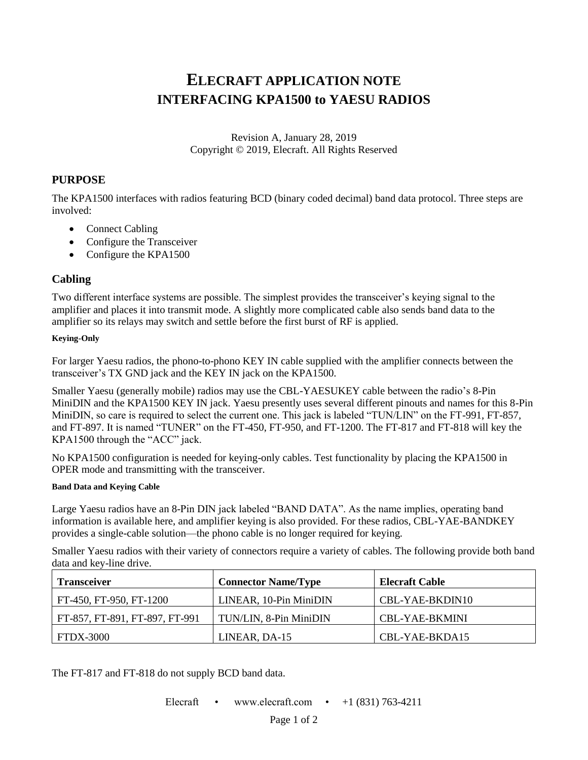# **ELECRAFT APPLICATION NOTE INTERFACING KPA1500 to YAESU RADIOS**

Revision A, January 28, 2019 Copyright © 2019, Elecraft. All Rights Reserved

## **PURPOSE**

The KPA1500 interfaces with radios featuring BCD (binary coded decimal) band data protocol. Three steps are involved:

- Connect Cabling
- Configure the Transceiver
- Configure the KPA1500

## **Cabling**

Two different interface systems are possible. The simplest provides the transceiver's keying signal to the amplifier and places it into transmit mode. A slightly more complicated cable also sends band data to the amplifier so its relays may switch and settle before the first burst of RF is applied.

#### **Keying-Only**

For larger Yaesu radios, the phono-to-phono KEY IN cable supplied with the amplifier connects between the transceiver's TX GND jack and the KEY IN jack on the KPA1500.

Smaller Yaesu (generally mobile) radios may use the CBL-YAESUKEY cable between the radio's 8-Pin MiniDIN and the KPA1500 KEY IN jack. Yaesu presently uses several different pinouts and names for this 8-Pin MiniDIN, so care is required to select the current one. This jack is labeled "TUN/LIN" on the FT-991, FT-857, and FT-897. It is named "TUNER" on the FT-450, FT-950, and FT-1200. The FT-817 and FT-818 will key the KPA1500 through the "ACC" jack.

No KPA1500 configuration is needed for keying-only cables. Test functionality by placing the KPA1500 in OPER mode and transmitting with the transceiver.

#### **Band Data and Keying Cable**

Large Yaesu radios have an 8-Pin DIN jack labeled "BAND DATA". As the name implies, operating band information is available here, and amplifier keying is also provided. For these radios, CBL-YAE-BANDKEY provides a single-cable solution—the phono cable is no longer required for keying.

Smaller Yaesu radios with their variety of connectors require a variety of cables. The following provide both band data and key-line drive.

| <b>Transceiver</b>             | <b>Connector Name/Type</b> | Elecraft Cable  |
|--------------------------------|----------------------------|-----------------|
| FT-450, FT-950, FT-1200        | LINEAR, 10-Pin MiniDIN     | CBL-YAE-BKDIN10 |
| FT-857, FT-891, FT-897, FT-991 | TUN/LIN, 8-Pin MiniDIN     | CBL-YAE-BKMINI  |
| <b>FTDX-3000</b>               | LINEAR, DA-15              | CBL-YAE-BKDA15  |

The FT-817 and FT-818 do not supply BCD band data.